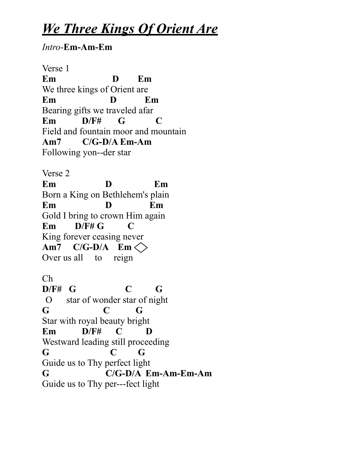## *We Three Kings Of Orient Are*

*Intro*-**Em-Am-Em**

Verse 1 **Em D Em** We three kings of Orient are **Em D Em** Bearing gifts we traveled afar **Em D/F# G C** Field and fountain moor and mountain **Am7 C/G-D/A Em-Am** Following yon--der star Verse 2 **Em D Em** Born a King on Bethlehem's plain **Em D Em** Gold I bring to crown Him again **Em D/F# G C** King forever ceasing never

**Am7 C/G-D/A Em** Over us all to reign

Ch

**D/F# G C G** O star of wonder star of night **G C G** Star with royal beauty bright **Em D/F# C D** Westward leading still proceeding **G C G** Guide us to Thy perfect light **G C/G-D/A Em-Am-Em-Am** Guide us to Thy per---fect light